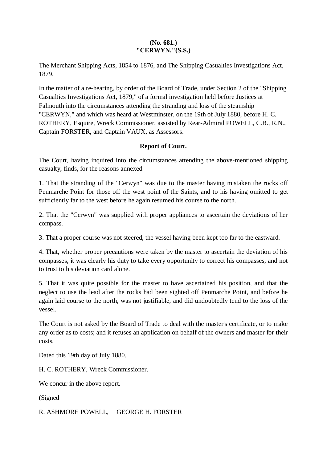## **(No. 681.) "CERWYN."(S.S.)**

The Merchant Shipping Acts, 1854 to 1876, and The Shipping Casualties Investigations Act, 1879.

In the matter of a re-hearing, by order of the Board of Trade, under Section 2 of the "Shipping Casualties Investigations Act, 1879," of a formal investigation held before Justices at Falmouth into the circumstances attending the stranding and loss of the steamship "CERWYN," and which was heard at Westminster, on the 19th of July 1880, before H. C. ROTHERY, Esquire, Wreck Commissioner, assisted by Rear-Admiral POWELL, C.B., R.N., Captain FORSTER, and Captain VAUX, as Assessors.

## **Report of Court.**

The Court, having inquired into the circumstances attending the above-mentioned shipping casualty, finds, for the reasons annexed

1. That the stranding of the "Cerwyn" was due to the master having mistaken the rocks off Penmarche Point for those off the west point of the Saints, and to his having omitted to get sufficiently far to the west before he again resumed his course to the north.

2. That the "Cerwyn" was supplied with proper appliances to ascertain the deviations of her compass.

3. That a proper course was not steered, the vessel having been kept too far to the eastward.

4. That, whether proper precautions were taken by the master to ascertain the deviation of his compasses, it was clearly his duty to take every opportunity to correct his compasses, and not to trust to his deviation card alone.

5. That it was quite possible for the master to have ascertained his position, and that the neglect to use the lead after the rocks had been sighted off Penmarche Point, and before he again laid course to the north, was not justifiable, and did undoubtedly tend to the loss of the vessel.

The Court is not asked by the Board of Trade to deal with the master's certificate, or to make any order as to costs; and it refuses an application on behalf of the owners and master for their costs.

Dated this 19th day of July 1880.

H. C. ROTHERY, Wreck Commissioner.

We concur in the above report.

(Signed

R. ASHMORE POWELL, GEORGE H. FORSTER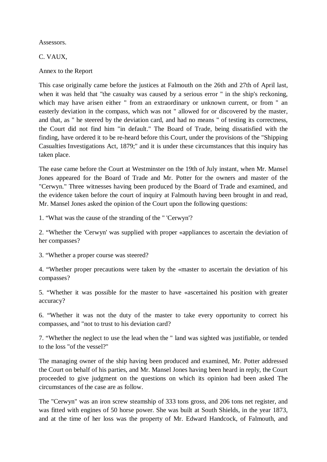Assessors.

C. VAUX,

Annex to the Report

This case originally came before the justices at Falmouth on the 26th and 27th of April last, when it was held that "the casualty was caused by a serious error " in the ship's reckoning, which may have arisen either " from an extraordinary or unknown current, or from " an easterly deviation in the compass, which was not " allowed for or discovered by the master, and that, as " he steered by the deviation card, and had no means " of testing its correctness, the Court did not find him "in default." The Board of Trade, being dissatisfied with the finding, have ordered it to be re-heard before this Court, under the provisions of the "Shipping Casualties Investigations Act, 1879;" and it is under these circumstances that this inquiry has taken place.

The ease came before the Court at Westminster on the 19th of July instant, when Mr. Mansel Jones appeared for the Board of Trade and Mr. Potter for the owners and master of the "Cerwyn." Three witnesses having been produced by the Board of Trade and examined, and the evidence taken before the court of inquiry at Falmouth having been brought in and read, Mr. Mansel Jones asked the opinion of the Court upon the following questions:

1. "What was the cause of the stranding of the " 'Cerwyn'?

2. "Whether the 'Cerwyn' was supplied with proper «appliances to ascertain the deviation of her compasses?

3. "Whether a proper course was steered?

4. "Whether proper precautions were taken by the «master to ascertain the deviation of his compasses?

5. "Whether it was possible for the master to have «ascertained his position with greater accuracy?

6. "Whether it was not the duty of the master to take every opportunity to correct his compasses, and "not to trust to his deviation card?

7. "Whether the neglect to use the lead when the " land was sighted was justifiable, or tended to the loss "of the vessel?"

The managing owner of the ship having been produced and examined, Mr. Potter addressed the Court on behalf of his parties, and Mr. Mansel Jones having been heard in reply, the Court proceeded to give judgment on the questions on which its opinion had been asked The circumstances of the case are as follow.

The "Cerwyn" was an iron screw steamship of 333 tons gross, and 206 tons net register, and was fitted with engines of 50 horse power. She was built at South Shields, in the year 1873, and at the time of her loss was the property of Mr. Edward Handcock, of Falmouth, and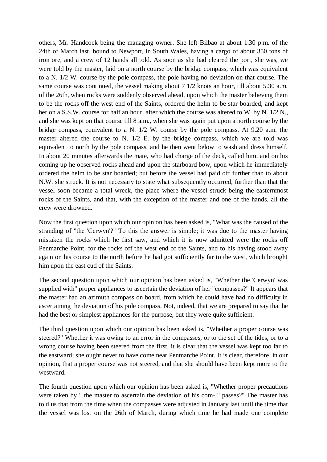others, Mr. Handcock being the managing owner. She left Bilbao at about 1.30 p.m. of the 24th of March last, bound to Newport, in South Wales, having a cargo of about 350 tons of iron ore, and a crew of 12 hands all told. As soon as she bad cleared the port, she was, we were told by the master, laid on a north course by the bridge compass, which was equivalent to a N. 1/2 W. course by the pole compass, the pole having no deviation on that course. The same course was continued, the vessel making about 7 1/2 knots an hour, till about 5.30 a.m. of the 26th, when rocks were suddenly observed ahead, upon which the master believing them to be the rocks off the west end of the Saints, ordered the helm to be star boarded, and kept her on a S.S.W. course for half an hour, after which the course was altered to W. by N. 1/2 N., and she was kept on that course till 8 a.m., when she was again put upon a north course by the bridge compass, equivalent to a N. 1/2 W. course by the pole compass. At 9.20 a.m. the master altered the course to N.  $1/2$  E. by the bridge compass, which we are told was equivalent to north by the pole compass, and he then went below to wash and dress himself. In about 20 minutes afterwards the mate, who had charge of the deck, called him, and on his coming up he observed rocks ahead and upon the starboard bow, upon which he immediately ordered the helm to be star boarded; but before the vessel had paid off further than to about N.W. she struck. It is not necessary to state what subsequently occurred, further than that the vessel soon became a total wreck, the place where the vessel struck being the easternmost rocks of the Saints, and that, with the exception of the master and one of the hands, all the crew were drowned.

Now the first question upon which our opinion has been asked is, "What was the caused of the stranding of "the 'Cerwyn'?" To this the answer is simple; it was due to the master having mistaken the rocks which he first saw, and which it is now admitted were the rocks off Penmarche Point, for the rocks off the west end of the Saints, and to his having stood away again on his course to the north before he had got sufficiently far to the west, which brought him upon the east cud of the Saints.

The second question upon which our opinion has been asked is, "Whether the 'Cerwyn' was supplied with" proper appliances to ascertain the deviation of her "compasses?" It appears that the master had an azimuth compass on board, from which he could have had no difficulty in ascertaining the deviation of his pole compass. Not, indeed, that we are prepared to say that he had the best or simplest appliances for the purpose, but they were quite sufficient.

The third question upon which our opinion has been asked is, "Whether a proper course was steered?" Whether it was owing to an error in the compasses, or to the set of the tides, or to a wrong course having been steered from the first, it is clear that the vessel was kept too far to the eastward; she ought never to have come near Penmarche Point. It is clear, therefore, in our opinion, that a proper course was not steered, and that she should have been kept more to the westward.

The fourth question upon which our opinion has been asked is, "Whether proper precautions were taken by " the master to ascertain the deviation of his com- " passes?" The master has told us that from the time when the compasses were adjusted in January last until the time that the vessel was lost on the 26th of March, during which time he had made one complete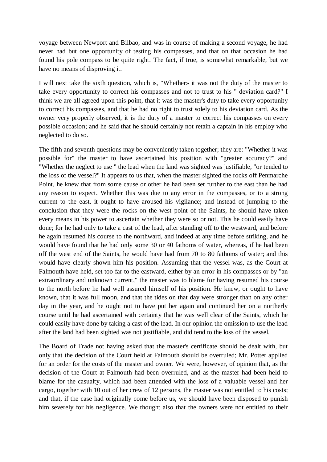voyage between Newport and Bilbao, and was in course of making a second voyage, he had never had but one opportunity of testing his compasses, and that on that occasion he had found his pole compass to be quite right. The fact, if true, is somewhat remarkable, but we have no means of disproving it.

I will next take the sixth question, which is, "Whether» it was not the duty of the master to take every opportunity to correct his compasses and not to trust to his " deviation card?" I think we are all agreed upon this point, that it was the master's duty to take every opportunity to correct his compasses, and that he had no right to trust solely to his deviation card. As the owner very properly observed, it is the duty of a master to correct his compasses on every possible occasion; and he said that he should certainly not retain a captain in his employ who neglected to do so.

The fifth and seventh questions may be conveniently taken together; they are: "Whether it was possible for" the master to have ascertained his position with "greater accuracy?" and "Whether the neglect to use " the lead when the land was sighted was justifiable, "or tended to the loss of the vessel?" It appears to us that, when the master sighted the rocks off Penmarche Point, he knew that from some cause or other he had been set further to the east than he had any reason to expect. Whether this was due to any error in the compasses, or to a strong current to the east, it ought to have aroused his vigilance; and instead of jumping to the conclusion that they were the rocks on the west point of the Saints, he should have taken every means in his power to ascertain whether they were so or not. This he could easily have done; for he had only to take a cast of the lead, after standing off to the westward, and before he again resumed his course to the northward, and indeed at any time before striking, and he would have found that he had only some 30 or 40 fathoms of water, whereas, if he had been off the west end of the Saints, he would have had from 70 to 80 fathoms of water; and this would have clearly shown him his position. Assuming that the vessel was, as the Court at Falmouth have held, set too far to the eastward, either by an error in his compasses or by "an extraordinary and unknown current," the master was to blame for having resumed his course to the north before he had well assured himself of his position. He knew, or ought to have known, that it was full moon, and that the tides on that day were stronger than on any other day in the year, and he ought not to have put her again and continued her on a northerly course until he had ascertained with certainty that he was well clear of the Saints, which he could easily have done by taking a cast of the lead. In our opinion the omission to use the lead after the land had been sighted was not justifiable, and did tend to the loss of the vessel.

The Board of Trade not having asked that the master's certificate should be dealt with, but only that the decision of the Court held at Falmouth should be overruled; Mr. Potter applied for an order for the costs of the master and owner. We were, however, of opinion that, as the decision of the Court at Falmouth had been overruled, and as the master had been held to blame for the casualty, which had been attended with the loss of a valuable vessel and her cargo, together with 10 out of her crew of 12 persons, the master was not entitled to his costs; and that, if the case had originally come before us, we should have been disposed to punish him severely for his negligence. We thought also that the owners were not entitled to their